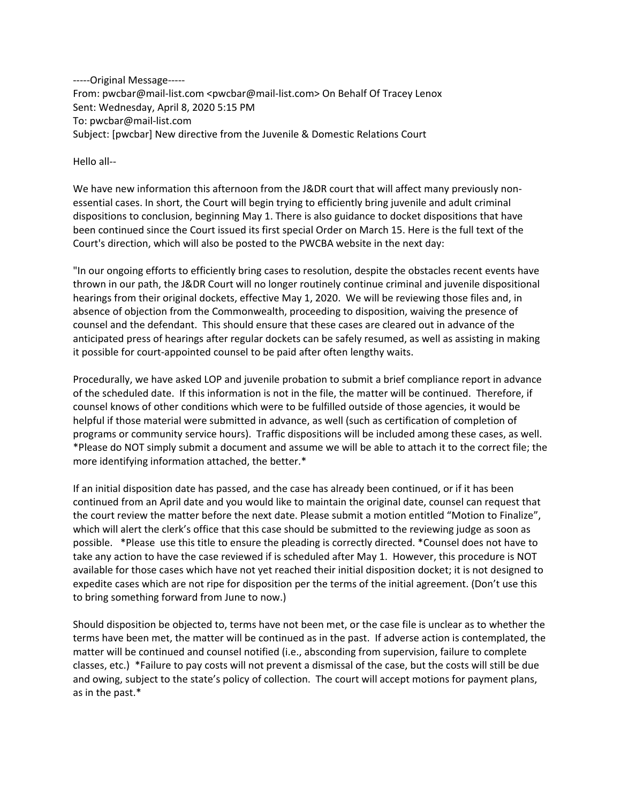‐‐‐‐‐Original Message‐‐‐‐‐ From: pwcbar@mail-list.com <pwcbar@mail-list.com> On Behalf Of Tracey Lenox Sent: Wednesday, April 8, 2020 5:15 PM To: pwcbar@mail‐list.com Subject: [pwcbar] New directive from the Juvenile & Domestic Relations Court

Hello all‐‐

We have new information this afternoon from the J&DR court that will affect many previously nonessential cases. In short, the Court will begin trying to efficiently bring juvenile and adult criminal dispositions to conclusion, beginning May 1. There is also guidance to docket dispositions that have been continued since the Court issued its first special Order on March 15. Here is the full text of the Court's direction, which will also be posted to the PWCBA website in the next day:

"In our ongoing efforts to efficiently bring cases to resolution, despite the obstacles recent events have thrown in our path, the J&DR Court will no longer routinely continue criminal and juvenile dispositional hearings from their original dockets, effective May 1, 2020. We will be reviewing those files and, in absence of objection from the Commonwealth, proceeding to disposition, waiving the presence of counsel and the defendant. This should ensure that these cases are cleared out in advance of the anticipated press of hearings after regular dockets can be safely resumed, as well as assisting in making it possible for court‐appointed counsel to be paid after often lengthy waits.

Procedurally, we have asked LOP and juvenile probation to submit a brief compliance report in advance of the scheduled date. If this information is not in the file, the matter will be continued. Therefore, if counsel knows of other conditions which were to be fulfilled outside of those agencies, it would be helpful if those material were submitted in advance, as well (such as certification of completion of programs or community service hours). Traffic dispositions will be included among these cases, as well. \*Please do NOT simply submit a document and assume we will be able to attach it to the correct file; the more identifying information attached, the better.\*

If an initial disposition date has passed, and the case has already been continued, or if it has been continued from an April date and you would like to maintain the original date, counsel can request that the court review the matter before the next date. Please submit a motion entitled "Motion to Finalize", which will alert the clerk's office that this case should be submitted to the reviewing judge as soon as possible. \*Please use this title to ensure the pleading is correctly directed. \*Counsel does not have to take any action to have the case reviewed if is scheduled after May 1. However, this procedure is NOT available for those cases which have not yet reached their initial disposition docket; it is not designed to expedite cases which are not ripe for disposition per the terms of the initial agreement. (Don't use this to bring something forward from June to now.)

Should disposition be objected to, terms have not been met, or the case file is unclear as to whether the terms have been met, the matter will be continued as in the past. If adverse action is contemplated, the matter will be continued and counsel notified (i.e., absconding from supervision, failure to complete classes, etc.) \*Failure to pay costs will not prevent a dismissal of the case, but the costs will still be due and owing, subject to the state's policy of collection. The court will accept motions for payment plans, as in the past.\*